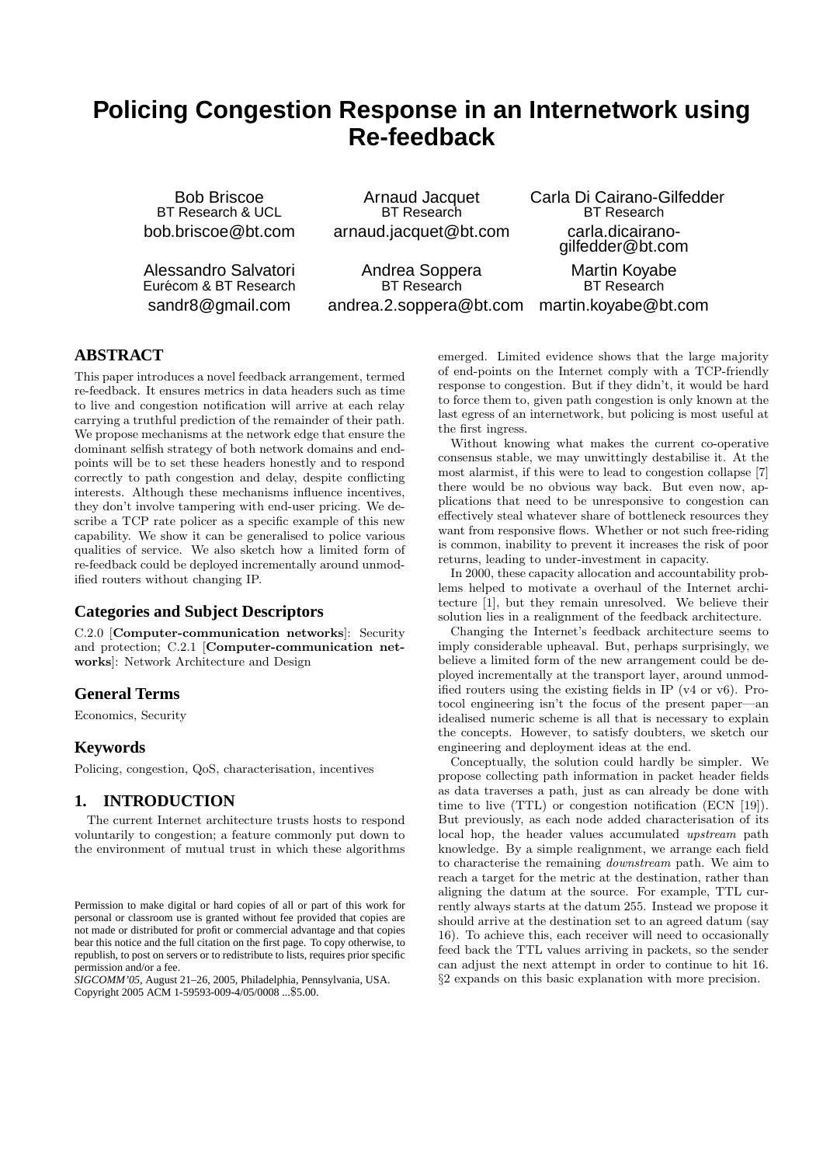# **Policing Congestion Response in an Internetwork using Re-feedback**

Bob Briscoe BT Research & UCL bob.briscoe@bt.com

Alessandro Salvatori Eurécom & BT Research sandr8@gmail.com

Arnaud Jacquet BT Research arnaud.jacquet@bt.com Carla Di Cairano-Gilfedder BT Research carla.dicairanogilfedder@bt.com

Martin Koyabe BT Research martin.koyabe@bt.com

Andrea Soppera BT Research andrea.2.soppera@bt.com

**ABSTRACT**

This paper introduces a novel feedback arrangement, termed re-feedback. It ensures metrics in data headers such as time to live and congestion notification will arrive at each relay carrying a truthful prediction of the remainder of their path. We propose mechanisms at the network edge that ensure the dominant selfish strategy of both network domains and endpoints will be to set these headers honestly and to respond correctly to path congestion and delay, despite conflicting interests. Although these mechanisms influence incentives, they don't involve tampering with end-user pricing. We describe a TCP rate policer as a specific example of this new capability. We show it can be generalised to police various qualities of service. We also sketch how a limited form of re-feedback could be deployed incrementally around unmodified routers without changing IP.

# **Categories and Subject Descriptors**

C.2.0 [Computer-communication networks]: Security and protection; C.2.1 [Computer-communication networks]: Network Architecture and Design

# **General Terms**

Economics, Security

# **Keywords**

Policing, congestion, QoS, characterisation, incentives

# **1. INTRODUCTION**

The current Internet architecture trusts hosts to respond voluntarily to congestion; a feature commonly put down to the environment of mutual trust in which these algorithms

*SIGCOMM'05,* August 21–26, 2005, Philadelphia, Pennsylvania, USA. Copyright 2005 ACM 1-59593-009-4/05/0008 ...\$5.00.

emerged. Limited evidence shows that the large majority of end-points on the Internet comply with a TCP-friendly response to congestion. But if they didn't, it would be hard to force them to, given path congestion is only known at the last egress of an internetwork, but policing is most useful at the first ingress.

Without knowing what makes the current co-operative consensus stable, we may unwittingly destabilise it. At the most alarmist, if this were to lead to congestion collapse [7] there would be no obvious way back. But even now, applications that need to be unresponsive to congestion can effectively steal whatever share of bottleneck resources they want from responsive flows. Whether or not such free-riding is common, inability to prevent it increases the risk of poor returns, leading to under-investment in capacity.

In 2000, these capacity allocation and accountability problems helped to motivate a overhaul of the Internet architecture [1], but they remain unresolved. We believe their solution lies in a realignment of the feedback architecture.

Changing the Internet's feedback architecture seems to imply considerable upheaval. But, perhaps surprisingly, we believe a limited form of the new arrangement could be deployed incrementally at the transport layer, around unmodified routers using the existing fields in IP (v4 or v6). Protocol engineering isn't the focus of the present paper—an idealised numeric scheme is all that is necessary to explain the concepts. However, to satisfy doubters, we sketch our engineering and deployment ideas at the end.

Conceptually, the solution could hardly be simpler. We propose collecting path information in packet header fields as data traverses a path, just as can already be done with time to live (TTL) or congestion notification (ECN [19]). But previously, as each node added characterisation of its local hop, the header values accumulated upstream path knowledge. By a simple realignment, we arrange each field to characterise the remaining downstream path. We aim to reach a target for the metric at the destination, rather than aligning the datum at the source. For example, TTL currently always starts at the datum 255. Instead we propose it should arrive at the destination set to an agreed datum (say 16). To achieve this, each receiver will need to occasionally feed back the TTL values arriving in packets, so the sender can adjust the next attempt in order to continue to hit 16. §2 expands on this basic explanation with more precision.

Permission to make digital or hard copies of all or part of this work for personal or classroom use is granted without fee provided that copies are not made or distributed for profit or commercial advantage and that copies bear this notice and the full citation on the first page. To copy otherwise, to republish, to post on servers or to redistribute to lists, requires prior specific permission and/or a fee.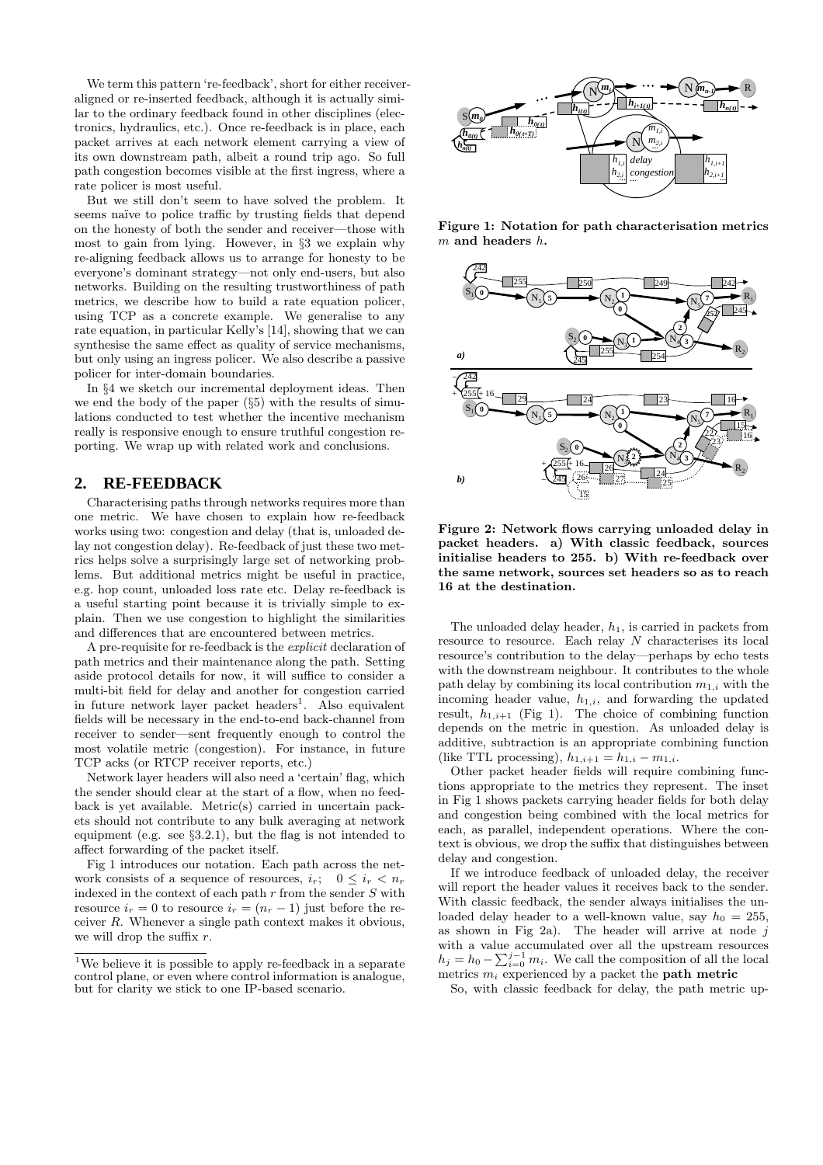We term this pattern 're-feedback', short for either receiveraligned or re-inserted feedback, although it is actually similar to the ordinary feedback found in other disciplines (electronics, hydraulics, etc.). Once re-feedback is in place, each packet arrives at each network element carrying a view of its own downstream path, albeit a round trip ago. So full path congestion becomes visible at the first ingress, where a rate policer is most useful.

But we still don't seem to have solved the problem. It seems naïve to police traffic by trusting fields that depend on the honesty of both the sender and receiver—those with most to gain from lying. However, in §3 we explain why re-aligning feedback allows us to arrange for honesty to be everyone's dominant strategy—not only end-users, but also networks. Building on the resulting trustworthiness of path metrics, we describe how to build a rate equation policer, using TCP as a concrete example. We generalise to any rate equation, in particular Kelly's [14], showing that we can synthesise the same effect as quality of service mechanisms, but only using an ingress policer. We also describe a passive policer for inter-domain boundaries.

In §4 we sketch our incremental deployment ideas. Then we end the body of the paper (§5) with the results of simulations conducted to test whether the incentive mechanism really is responsive enough to ensure truthful congestion reporting. We wrap up with related work and conclusions.

# **2. RE-FEEDBACK**

Characterising paths through networks requires more than one metric. We have chosen to explain how re-feedback works using two: congestion and delay (that is, unloaded delay not congestion delay). Re-feedback of just these two metrics helps solve a surprisingly large set of networking problems. But additional metrics might be useful in practice, e.g. hop count, unloaded loss rate etc. Delay re-feedback is a useful starting point because it is trivially simple to explain. Then we use congestion to highlight the similarities and differences that are encountered between metrics.

A pre-requisite for re-feedback is the explicit declaration of path metrics and their maintenance along the path. Setting aside protocol details for now, it will suffice to consider a multi-bit field for delay and another for congestion carried in future network layer packet headers<sup>1</sup>. Also equivalent fields will be necessary in the end-to-end back-channel from receiver to sender—sent frequently enough to control the most volatile metric (congestion). For instance, in future TCP acks (or RTCP receiver reports, etc.)

Network layer headers will also need a 'certain' flag, which the sender should clear at the start of a flow, when no feedback is yet available. Metric(s) carried in uncertain packets should not contribute to any bulk averaging at network equipment (e.g. see §3.2.1), but the flag is not intended to affect forwarding of the packet itself.

Fig 1 introduces our notation. Each path across the network consists of a sequence of resources,  $i_r$ ;  $0 \le i_r < n_r$ indexed in the context of each path  $r$  from the sender  $S$  with resource  $i_r = 0$  to resource  $i_r = (n_r - 1)$  just before the receiver R. Whenever a single path context makes it obvious, we will drop the suffix  $r$ .



Figure 1: Notation for path characterisation metrics  $m$  and headers  $h$ .



Figure 2: Network flows carrying unloaded delay in packet headers. a) With classic feedback, sources initialise headers to 255. b) With re-feedback over the same network, sources set headers so as to reach 16 at the destination.

The unloaded delay header,  $h_1$ , is carried in packets from resource to resource. Each relay N characterises its local resource's contribution to the delay—perhaps by echo tests with the downstream neighbour. It contributes to the whole path delay by combining its local contribution  $m_{1,i}$  with the incoming header value,  $h_{1,i}$ , and forwarding the updated result,  $h_{1,i+1}$  (Fig 1). The choice of combining function depends on the metric in question. As unloaded delay is additive, subtraction is an appropriate combining function (like TTL processing),  $h_{1,i+1} = h_{1,i} - m_{1,i}$ .

Other packet header fields will require combining functions appropriate to the metrics they represent. The inset in Fig 1 shows packets carrying header fields for both delay and congestion being combined with the local metrics for each, as parallel, independent operations. Where the context is obvious, we drop the suffix that distinguishes between delay and congestion.

If we introduce feedback of unloaded delay, the receiver will report the header values it receives back to the sender. With classic feedback, the sender always initialises the unloaded delay header to a well-known value, say  $h_0 = 255$ , as shown in Fig 2a). The header will arrive at node  $j$ with a value accumulated over all the upstream resources with a value accumulated over all the upstream resources  $h_j = h_0 - \sum_{i=0}^{j-1} m_i$ . We call the composition of all the local metrics  $m_i$  experienced by a packet the **path metric** 

So, with classic feedback for delay, the path metric up-

<sup>&</sup>lt;sup>1</sup>We believe it is possible to apply re-feedback in a separate control plane, or even where control information is analogue, but for clarity we stick to one IP-based scenario.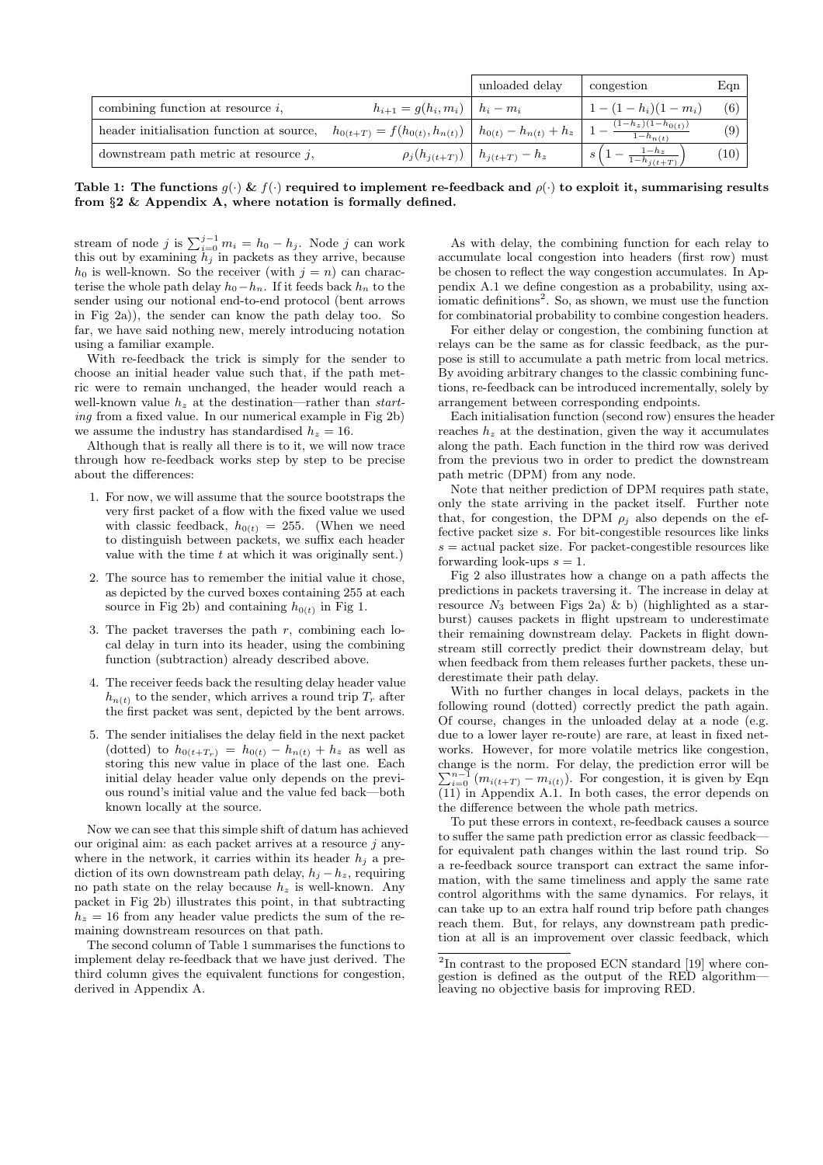|                                           |                                                                     | unloaded delay                             | congestion                            | Eqn  |
|-------------------------------------------|---------------------------------------------------------------------|--------------------------------------------|---------------------------------------|------|
| combining function at resource $i$ ,      | $h_{i+1} = q(h_i, m_i) \mid h_i - m_i$                              |                                            | $1-(1-h_i)(1-m_i)$                    | (6)  |
| header initialisation function at source, | $h_{0(t+T)} = f(h_{0(t)}, h_{n(t)}) \mid h_{0(t)} - h_{n(t)} + h_z$ |                                            | $(1-h_z)(1-h_{0(t)})$<br>$1-h_{n(t)}$ | (9)  |
| downstream path metric at resource $i$ ,  |                                                                     | $\rho_j(h_{j(t+T)}) \mid h_{j(t+T)} - h_z$ | $1-h_z$<br>$1-h_{i(t+T)}$             | (10) |

Table 1: The functions  $g(\cdot) \& f(\cdot)$  required to implement re-feedback and  $\rho(\cdot)$  to exploit it, summarising results from §2 & Appendix A, where notation is formally defined.

stream of node j is  $\sum_{i=0}^{j-1} m_i = h_0 - h_j$ . Node j can work this out by examining  $\overline{h_j}$  in packets as they arrive, because  $h_0$  is well-known. So the receiver (with  $j = n$ ) can characterise the whole path delay  $h_0-h_n$ . If it feeds back  $h_n$  to the sender using our notional end-to-end protocol (bent arrows in Fig 2a)), the sender can know the path delay too. So far, we have said nothing new, merely introducing notation using a familiar example.

With re-feedback the trick is simply for the sender to choose an initial header value such that, if the path metric were to remain unchanged, the header would reach a well-known value  $h<sub>z</sub>$  at the destination—rather than starting from a fixed value. In our numerical example in Fig 2b) we assume the industry has standardised  $h_z = 16$ .

Although that is really all there is to it, we will now trace through how re-feedback works step by step to be precise about the differences:

- 1. For now, we will assume that the source bootstraps the very first packet of a flow with the fixed value we used with classic feedback,  $h_{0(t)} = 255$ . (When we need to distinguish between packets, we suffix each header value with the time  $t$  at which it was originally sent.)
- 2. The source has to remember the initial value it chose, as depicted by the curved boxes containing 255 at each source in Fig 2b) and containing  $h_{0(t)}$  in Fig 1.
- 3. The packet traverses the path  $r$ , combining each local delay in turn into its header, using the combining function (subtraction) already described above.
- 4. The receiver feeds back the resulting delay header value  $h_{n(t)}$  to the sender, which arrives a round trip  $T_r$  after the first packet was sent, depicted by the bent arrows.
- 5. The sender initialises the delay field in the next packet (dotted) to  $h_{0(t+T_r)} = h_{0(t)} - h_{n(t)} + h_z$  as well as storing this new value in place of the last one. Each initial delay header value only depends on the previous round's initial value and the value fed back—both known locally at the source.

Now we can see that this simple shift of datum has achieved our original aim: as each packet arrives at a resource  $i$  anywhere in the network, it carries within its header  $h_i$  a prediction of its own downstream path delay,  $h_i - h_z$ , requiring no path state on the relay because  $h_z$  is well-known. Any packet in Fig 2b) illustrates this point, in that subtracting  $h_z = 16$  from any header value predicts the sum of the remaining downstream resources on that path.

The second column of Table 1 summarises the functions to implement delay re-feedback that we have just derived. The third column gives the equivalent functions for congestion, derived in Appendix A.

As with delay, the combining function for each relay to accumulate local congestion into headers (first row) must be chosen to reflect the way congestion accumulates. In Appendix A.1 we define congestion as a probability, using axiomatic definitions<sup>2</sup>. So, as shown, we must use the function for combinatorial probability to combine congestion headers.

For either delay or congestion, the combining function at relays can be the same as for classic feedback, as the purpose is still to accumulate a path metric from local metrics. By avoiding arbitrary changes to the classic combining functions, re-feedback can be introduced incrementally, solely by arrangement between corresponding endpoints.

Each initialisation function (second row) ensures the header reaches  $h<sub>z</sub>$  at the destination, given the way it accumulates along the path. Each function in the third row was derived from the previous two in order to predict the downstream path metric (DPM) from any node.

Note that neither prediction of DPM requires path state, only the state arriving in the packet itself. Further note that, for congestion, the DPM  $\rho_j$  also depends on the effective packet size s. For bit-congestible resources like links  $s =$  actual packet size. For packet-congestible resources like forwarding look-ups  $s = 1$ .

Fig 2 also illustrates how a change on a path affects the predictions in packets traversing it. The increase in delay at resource  $N_3$  between Figs 2a) & b) (highlighted as a starburst) causes packets in flight upstream to underestimate their remaining downstream delay. Packets in flight downstream still correctly predict their downstream delay, but when feedback from them releases further packets, these underestimate their path delay.

With no further changes in local delays, packets in the following round (dotted) correctly predict the path again. Of course, changes in the unloaded delay at a node (e.g. due to a lower layer re-route) are rare, at least in fixed networks. However, for more volatile metrics like congestion, change is the norm. For delay, the prediction error will be change is the norm. For delay, the prediction error will be  $\sum_{i=0}^{n-1} (m_{i(t+T)} - m_{i(t)})$ . For congestion, it is given by Eqn  $(11)$  in Appendix A.1. In both cases, the error depends on the difference between the whole path metrics.

To put these errors in context, re-feedback causes a source to suffer the same path prediction error as classic feedback for equivalent path changes within the last round trip. So a re-feedback source transport can extract the same information, with the same timeliness and apply the same rate control algorithms with the same dynamics. For relays, it can take up to an extra half round trip before path changes reach them. But, for relays, any downstream path prediction at all is an improvement over classic feedback, which

<sup>&</sup>lt;sup>2</sup>In contrast to the proposed ECN standard [19] where congestion is defined as the output of the RED algorithm leaving no objective basis for improving RED.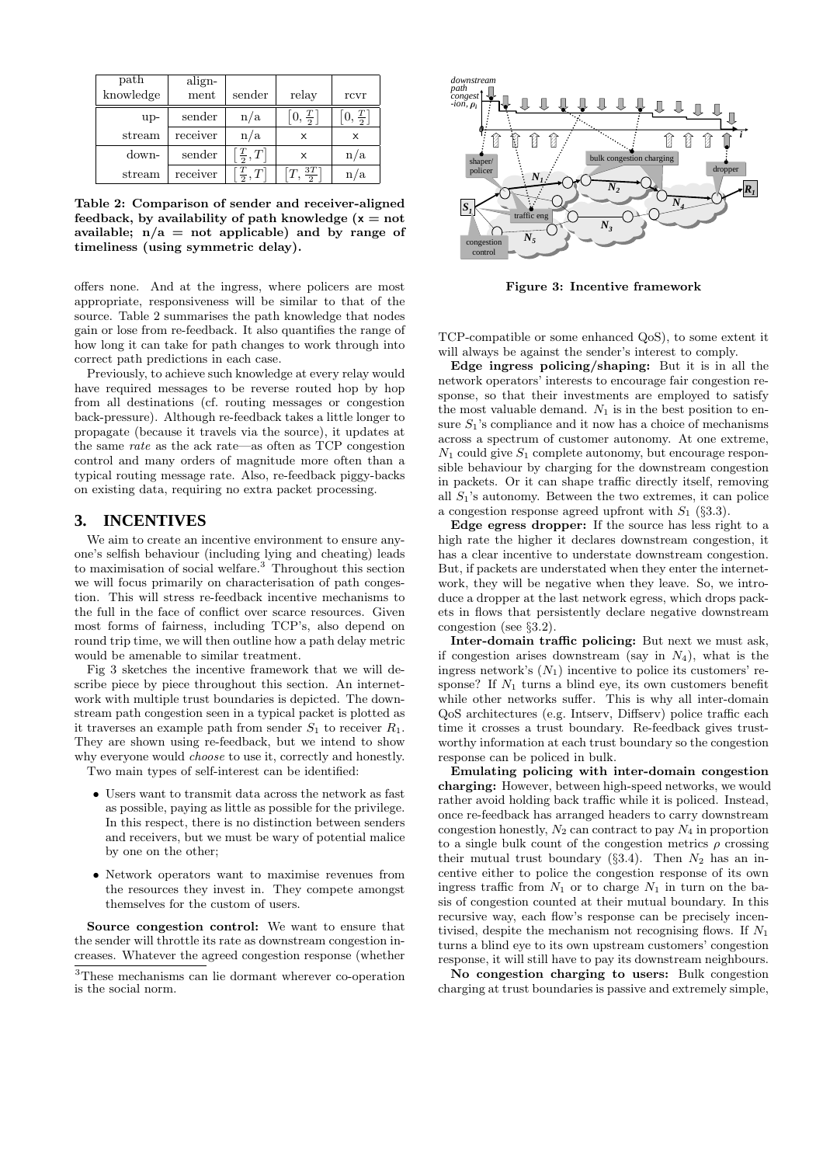| path<br>knowledge | align-<br>ment | sender                       | relay                         | rcvr          |
|-------------------|----------------|------------------------------|-------------------------------|---------------|
| $up-$             | sender         | n/a                          | $\left[0,\frac{T}{2}\right]$  | $\frac{T}{2}$ |
| stream            | receiver       | n/a                          | x                             | X             |
| down-             | sender         | $\left[\frac{T}{2},T\right]$ | X                             | n/a           |
| stream            | receiver       | $\left[\frac{T}{2},T\right]$ | $\left[T,\frac{3T}{2}\right]$ | /a            |

Table 2: Comparison of sender and receiver-aligned feedback, by availability of path knowledge  $(x = not)$ available;  $n/a = not$  applicable) and by range of timeliness (using symmetric delay).

offers none. And at the ingress, where policers are most appropriate, responsiveness will be similar to that of the source. Table 2 summarises the path knowledge that nodes gain or lose from re-feedback. It also quantifies the range of how long it can take for path changes to work through into correct path predictions in each case.

Previously, to achieve such knowledge at every relay would have required messages to be reverse routed hop by hop from all destinations (cf. routing messages or congestion back-pressure). Although re-feedback takes a little longer to propagate (because it travels via the source), it updates at the same rate as the ack rate—as often as TCP congestion control and many orders of magnitude more often than a typical routing message rate. Also, re-feedback piggy-backs on existing data, requiring no extra packet processing.

# **3. INCENTIVES**

We aim to create an incentive environment to ensure anyone's selfish behaviour (including lying and cheating) leads to maximisation of social welfare.<sup>3</sup> Throughout this section we will focus primarily on characterisation of path congestion. This will stress re-feedback incentive mechanisms to the full in the face of conflict over scarce resources. Given most forms of fairness, including TCP's, also depend on round trip time, we will then outline how a path delay metric would be amenable to similar treatment.

Fig 3 sketches the incentive framework that we will describe piece by piece throughout this section. An internetwork with multiple trust boundaries is depicted. The downstream path congestion seen in a typical packet is plotted as it traverses an example path from sender  $S_1$  to receiver  $R_1$ . They are shown using re-feedback, but we intend to show why everyone would choose to use it, correctly and honestly.

Two main types of self-interest can be identified:

- Users want to transmit data across the network as fast as possible, paying as little as possible for the privilege. In this respect, there is no distinction between senders and receivers, but we must be wary of potential malice by one on the other;
- Network operators want to maximise revenues from the resources they invest in. They compete amongst themselves for the custom of users.

Source congestion control: We want to ensure that the sender will throttle its rate as downstream congestion increases. Whatever the agreed congestion response (whether



Figure 3: Incentive framework

TCP-compatible or some enhanced QoS), to some extent it will always be against the sender's interest to comply.

Edge ingress policing/shaping: But it is in all the network operators' interests to encourage fair congestion response, so that their investments are employed to satisfy the most valuable demand.  $N_1$  is in the best position to ensure  $S_1$ 's compliance and it now has a choice of mechanisms across a spectrum of customer autonomy. At one extreme,  $N_1$  could give  $S_1$  complete autonomy, but encourage responsible behaviour by charging for the downstream congestion in packets. Or it can shape traffic directly itself, removing all  $S_1$ 's autonomy. Between the two extremes, it can police a congestion response agreed upfront with  $S_1$  (§3.3).

Edge egress dropper: If the source has less right to a high rate the higher it declares downstream congestion, it has a clear incentive to understate downstream congestion. But, if packets are understated when they enter the internetwork, they will be negative when they leave. So, we introduce a dropper at the last network egress, which drops packets in flows that persistently declare negative downstream congestion (see §3.2).

Inter-domain traffic policing: But next we must ask, if congestion arises downstream (say in  $N_4$ ), what is the ingress network's  $(N_1)$  incentive to police its customers' response? If  $N_1$  turns a blind eye, its own customers benefit while other networks suffer. This is why all inter-domain QoS architectures (e.g. Intserv, Diffserv) police traffic each time it crosses a trust boundary. Re-feedback gives trustworthy information at each trust boundary so the congestion response can be policed in bulk.

Emulating policing with inter-domain congestion charging: However, between high-speed networks, we would rather avoid holding back traffic while it is policed. Instead, once re-feedback has arranged headers to carry downstream congestion honestly,  $N_2$  can contract to pay  $N_4$  in proportion to a single bulk count of the congestion metrics  $\rho$  crossing their mutual trust boundary  $(83.4)$ . Then  $N_2$  has an incentive either to police the congestion response of its own ingress traffic from  $N_1$  or to charge  $N_1$  in turn on the basis of congestion counted at their mutual boundary. In this recursive way, each flow's response can be precisely incentivised, despite the mechanism not recognising flows. If  $N_1$ turns a blind eye to its own upstream customers' congestion response, it will still have to pay its downstream neighbours.

No congestion charging to users: Bulk congestion charging at trust boundaries is passive and extremely simple,

<sup>3</sup>These mechanisms can lie dormant wherever co-operation is the social norm.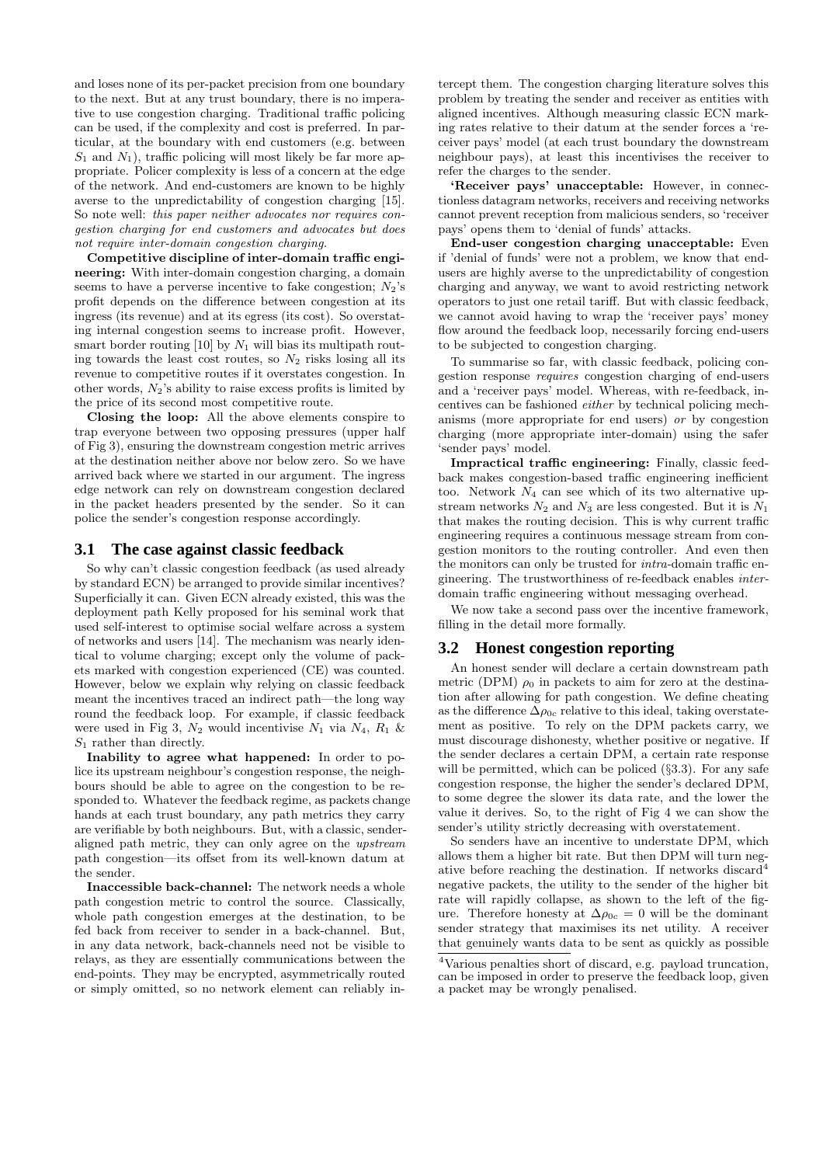and loses none of its per-packet precision from one boundary to the next. But at any trust boundary, there is no imperative to use congestion charging. Traditional traffic policing can be used, if the complexity and cost is preferred. In particular, at the boundary with end customers (e.g. between  $S_1$  and  $N_1$ ), traffic policing will most likely be far more appropriate. Policer complexity is less of a concern at the edge of the network. And end-customers are known to be highly averse to the unpredictability of congestion charging [15]. So note well: this paper neither advocates nor requires congestion charging for end customers and advocates but does not require inter-domain congestion charging.

Competitive discipline of inter-domain traffic engineering: With inter-domain congestion charging, a domain seems to have a perverse incentive to fake congestion;  $N_2$ 's profit depends on the difference between congestion at its ingress (its revenue) and at its egress (its cost). So overstating internal congestion seems to increase profit. However, smart border routing [10] by  $N_1$  will bias its multipath routing towards the least cost routes, so  $N_2$  risks losing all its revenue to competitive routes if it overstates congestion. In other words,  $N_2$ 's ability to raise excess profits is limited by the price of its second most competitive route.

Closing the loop: All the above elements conspire to trap everyone between two opposing pressures (upper half of Fig 3), ensuring the downstream congestion metric arrives at the destination neither above nor below zero. So we have arrived back where we started in our argument. The ingress edge network can rely on downstream congestion declared in the packet headers presented by the sender. So it can police the sender's congestion response accordingly.

#### **3.1 The case against classic feedback**

So why can't classic congestion feedback (as used already by standard ECN) be arranged to provide similar incentives? Superficially it can. Given ECN already existed, this was the deployment path Kelly proposed for his seminal work that used self-interest to optimise social welfare across a system of networks and users [14]. The mechanism was nearly identical to volume charging; except only the volume of packets marked with congestion experienced (CE) was counted. However, below we explain why relying on classic feedback meant the incentives traced an indirect path—the long way round the feedback loop. For example, if classic feedback were used in Fig 3,  $N_2$  would incentivise  $N_1$  via  $N_4$ ,  $R_1$  &  $S_1$  rather than directly.

Inability to agree what happened: In order to police its upstream neighbour's congestion response, the neighbours should be able to agree on the congestion to be responded to. Whatever the feedback regime, as packets change hands at each trust boundary, any path metrics they carry are verifiable by both neighbours. But, with a classic, senderaligned path metric, they can only agree on the upstream path congestion—its offset from its well-known datum at the sender.

Inaccessible back-channel: The network needs a whole path congestion metric to control the source. Classically, whole path congestion emerges at the destination, to be fed back from receiver to sender in a back-channel. But, in any data network, back-channels need not be visible to relays, as they are essentially communications between the end-points. They may be encrypted, asymmetrically routed or simply omitted, so no network element can reliably in-

tercept them. The congestion charging literature solves this problem by treating the sender and receiver as entities with aligned incentives. Although measuring classic ECN marking rates relative to their datum at the sender forces a 'receiver pays' model (at each trust boundary the downstream neighbour pays), at least this incentivises the receiver to refer the charges to the sender.

'Receiver pays' unacceptable: However, in connectionless datagram networks, receivers and receiving networks cannot prevent reception from malicious senders, so 'receiver pays' opens them to 'denial of funds' attacks.

End-user congestion charging unacceptable: Even if 'denial of funds' were not a problem, we know that endusers are highly averse to the unpredictability of congestion charging and anyway, we want to avoid restricting network operators to just one retail tariff. But with classic feedback, we cannot avoid having to wrap the 'receiver pays' money flow around the feedback loop, necessarily forcing end-users to be subjected to congestion charging.

To summarise so far, with classic feedback, policing congestion response requires congestion charging of end-users and a 'receiver pays' model. Whereas, with re-feedback, incentives can be fashioned either by technical policing mechanisms (more appropriate for end users) or by congestion charging (more appropriate inter-domain) using the safer 'sender pays' model.

Impractical traffic engineering: Finally, classic feedback makes congestion-based traffic engineering inefficient too. Network  $N_4$  can see which of its two alternative upstream networks  $N_2$  and  $N_3$  are less congested. But it is  $N_1$ that makes the routing decision. This is why current traffic engineering requires a continuous message stream from congestion monitors to the routing controller. And even then the monitors can only be trusted for intra-domain traffic engineering. The trustworthiness of re-feedback enables interdomain traffic engineering without messaging overhead.

We now take a second pass over the incentive framework, filling in the detail more formally.

# **3.2 Honest congestion reporting**

An honest sender will declare a certain downstream path metric (DPM)  $\rho_0$  in packets to aim for zero at the destination after allowing for path congestion. We define cheating as the difference  $\Delta \rho_{0c}$  relative to this ideal, taking overstatement as positive. To rely on the DPM packets carry, we must discourage dishonesty, whether positive or negative. If the sender declares a certain DPM, a certain rate response will be permitted, which can be policed  $(\S3.3)$ . For any safe congestion response, the higher the sender's declared DPM, to some degree the slower its data rate, and the lower the value it derives. So, to the right of Fig 4 we can show the sender's utility strictly decreasing with overstatement.

So senders have an incentive to understate DPM, which allows them a higher bit rate. But then DPM will turn negative before reaching the destination. If networks discard<sup>4</sup> negative packets, the utility to the sender of the higher bit rate will rapidly collapse, as shown to the left of the figure. Therefore honesty at  $\Delta \rho_{0c} = 0$  will be the dominant sender strategy that maximises its net utility. A receiver that genuinely wants data to be sent as quickly as possible

<sup>4</sup>Various penalties short of discard, e.g. payload truncation, can be imposed in order to preserve the feedback loop, given a packet may be wrongly penalised.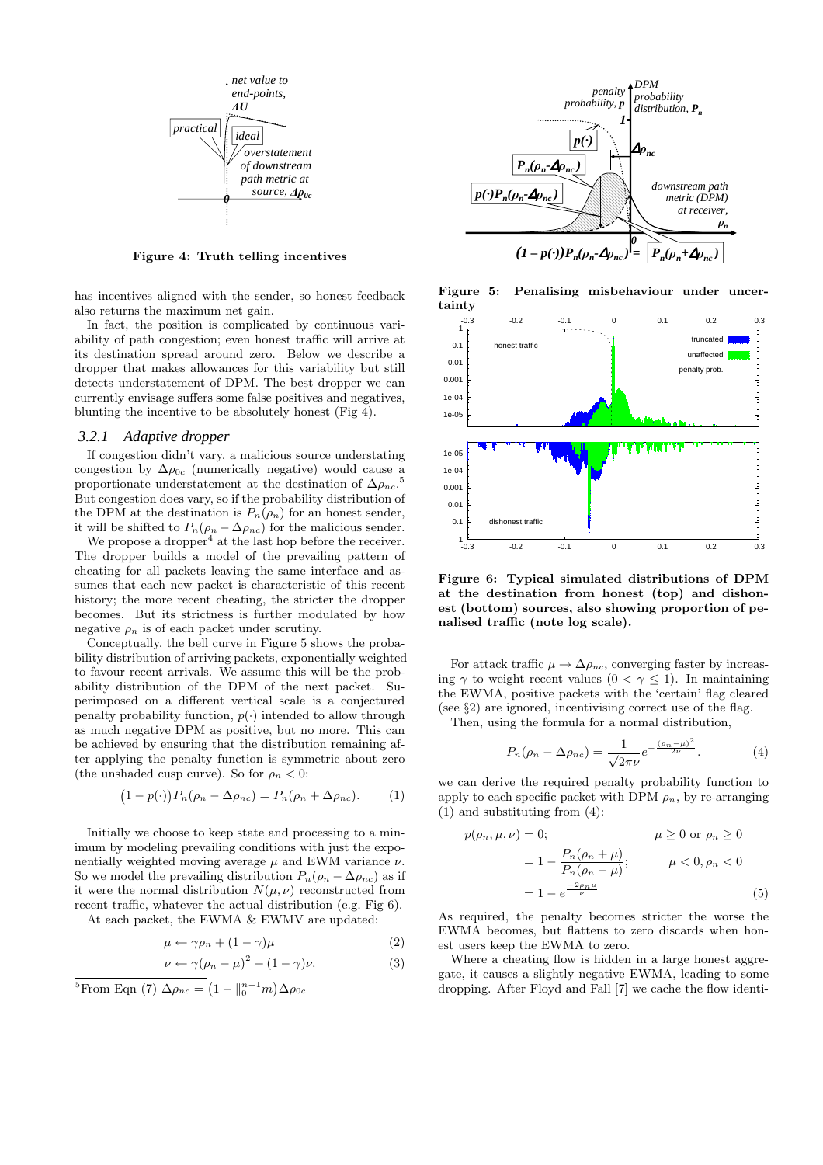

Figure 4: Truth telling incentives

has incentives aligned with the sender, so honest feedback also returns the maximum net gain.

In fact, the position is complicated by continuous variability of path congestion; even honest traffic will arrive at its destination spread around zero. Below we describe a dropper that makes allowances for this variability but still detects understatement of DPM. The best dropper we can currently envisage suffers some false positives and negatives, blunting the incentive to be absolutely honest (Fig 4).

#### *3.2.1 Adaptive dropper*

If congestion didn't vary, a malicious source understating congestion by  $\Delta \rho_{0c}$  (numerically negative) would cause a proportionate understatement at the destination of  $\Delta \rho_{nc}$ . 5 But congestion does vary, so if the probability distribution of the DPM at the destination is  $P_n(\rho_n)$  for an honest sender, it will be shifted to  $P_n(\rho_n - \Delta \rho_{nc})$  for the malicious sender.

We propose a dropper<sup>4</sup> at the last hop before the receiver. The dropper builds a model of the prevailing pattern of cheating for all packets leaving the same interface and assumes that each new packet is characteristic of this recent history; the more recent cheating, the stricter the dropper becomes. But its strictness is further modulated by how negative  $\rho_n$  is of each packet under scrutiny.

Conceptually, the bell curve in Figure 5 shows the probability distribution of arriving packets, exponentially weighted to favour recent arrivals. We assume this will be the probability distribution of the DPM of the next packet. Superimposed on a different vertical scale is a conjectured penalty probability function,  $p(\cdot)$  intended to allow through as much negative DPM as positive, but no more. This can be achieved by ensuring that the distribution remaining after applying the penalty function is symmetric about zero (the unshaded cusp curve). So for  $\rho_n < 0$ :

$$
(1 - p(\cdot)) P_n(\rho_n - \Delta \rho_{nc}) = P_n(\rho_n + \Delta \rho_{nc}). \tag{1}
$$

Initially we choose to keep state and processing to a minimum by modeling prevailing conditions with just the exponentially weighted moving average  $\mu$  and EWM variance  $\nu$ . So we model the prevailing distribution  $P_n(\rho_n - \Delta \rho_{nc})$  as if it were the normal distribution  $N(\mu, \nu)$  reconstructed from recent traffic, whatever the actual distribution (e.g. Fig 6).

At each packet, the EWMA & EWMV are updated:

$$
\mu \leftarrow \gamma \rho_n + (1 - \gamma)\mu \tag{2}
$$

$$
\nu \leftarrow \gamma(\rho_n - \mu)^2 + (1 - \gamma)\nu. \tag{3}
$$

<sup>5</sup>From Eqn (7)  $\Delta \rho_{nc} = (1 - ||_{0}^{n-1}m) \Delta \rho_{0c}$ 



Figure 5: Penalising misbehaviour under uncertainty



Figure 6: Typical simulated distributions of DPM at the destination from honest (top) and dishonest (bottom) sources, also showing proportion of penalised traffic (note log scale).

For attack traffic  $\mu \to \Delta \rho_{nc}$ , converging faster by increasing  $\gamma$  to weight recent values  $(0 < \gamma < 1)$ . In maintaining the EWMA, positive packets with the 'certain' flag cleared (see  $\S$ ) are ignored, incentivising correct use of the flag.

Then, using the formula for a normal distribution,

$$
P_n(\rho_n - \Delta \rho_{nc}) = \frac{1}{\sqrt{2\pi\nu}} e^{-\frac{(\rho_n - \mu)^2}{2\nu}}.
$$
 (4)

we can derive the required penalty probability function to apply to each specific packet with DPM  $\rho_n$ , by re-arranging (1) and substituting from (4):

$$
p(\rho_n, \mu, \nu) = 0; \qquad \mu \ge 0 \text{ or } \rho_n \ge 0
$$
  
=  $1 - \frac{P_n(\rho_n + \mu)}{P_n(\rho_n - \mu)};$   $\mu < 0, \rho_n < 0$   
=  $1 - e^{\frac{-2\rho_n \mu}{\nu}}$  (5)

As required, the penalty becomes stricter the worse the EWMA becomes, but flattens to zero discards when honest users keep the EWMA to zero.

Where a cheating flow is hidden in a large honest aggregate, it causes a slightly negative EWMA, leading to some dropping. After Floyd and Fall [7] we cache the flow identi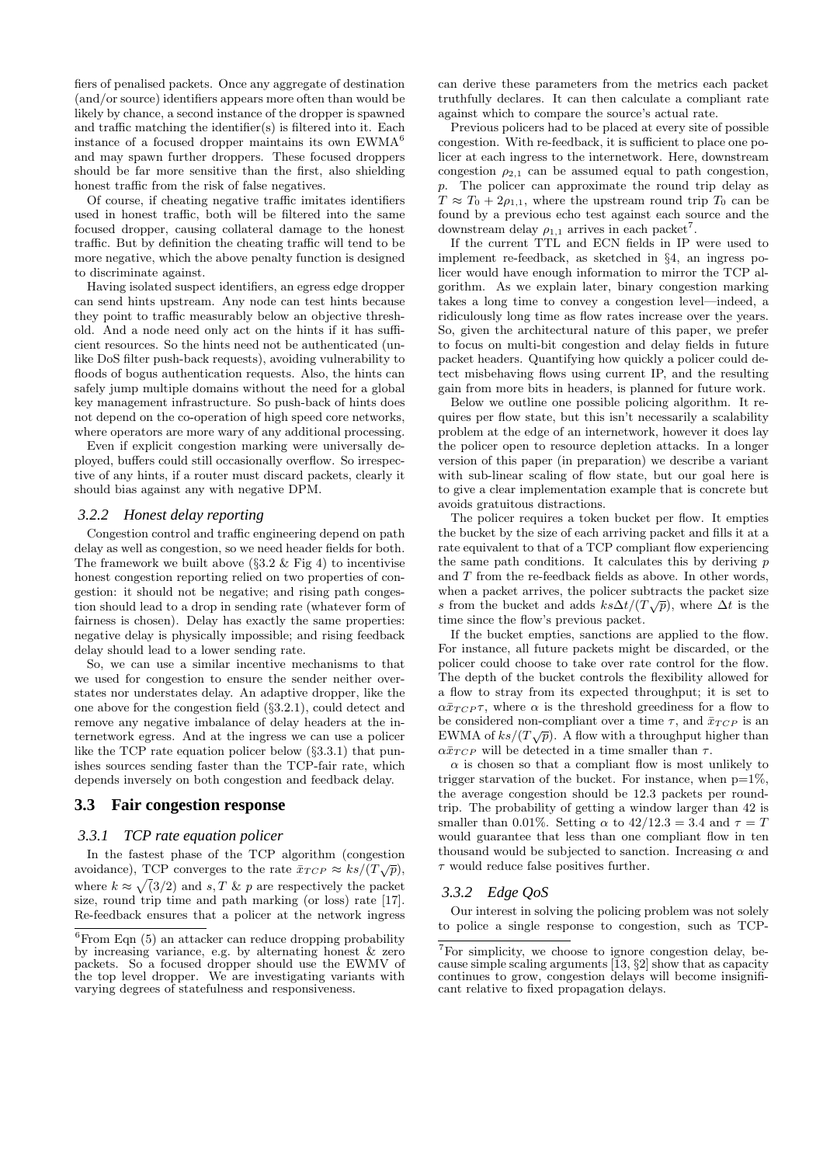fiers of penalised packets. Once any aggregate of destination (and/or source) identifiers appears more often than would be likely by chance, a second instance of the dropper is spawned and traffic matching the identifier(s) is filtered into it. Each instance of a focused dropper maintains its own  $EWMA<sup>6</sup>$ and may spawn further droppers. These focused droppers should be far more sensitive than the first, also shielding honest traffic from the risk of false negatives.

Of course, if cheating negative traffic imitates identifiers used in honest traffic, both will be filtered into the same focused dropper, causing collateral damage to the honest traffic. But by definition the cheating traffic will tend to be more negative, which the above penalty function is designed to discriminate against.

Having isolated suspect identifiers, an egress edge dropper can send hints upstream. Any node can test hints because they point to traffic measurably below an objective threshold. And a node need only act on the hints if it has sufficient resources. So the hints need not be authenticated (unlike DoS filter push-back requests), avoiding vulnerability to floods of bogus authentication requests. Also, the hints can safely jump multiple domains without the need for a global key management infrastructure. So push-back of hints does not depend on the co-operation of high speed core networks, where operators are more wary of any additional processing.

Even if explicit congestion marking were universally deployed, buffers could still occasionally overflow. So irrespective of any hints, if a router must discard packets, clearly it should bias against any with negative DPM.

#### *3.2.2 Honest delay reporting*

Congestion control and traffic engineering depend on path delay as well as congestion, so we need header fields for both. The framework we built above  $(\S 3.2 \&$  Fig 4) to incentivise honest congestion reporting relied on two properties of congestion: it should not be negative; and rising path congestion should lead to a drop in sending rate (whatever form of fairness is chosen). Delay has exactly the same properties: negative delay is physically impossible; and rising feedback delay should lead to a lower sending rate.

So, we can use a similar incentive mechanisms to that we used for congestion to ensure the sender neither overstates nor understates delay. An adaptive dropper, like the one above for the congestion field (§3.2.1), could detect and remove any negative imbalance of delay headers at the internetwork egress. And at the ingress we can use a policer like the TCP rate equation policer below (§3.3.1) that punishes sources sending faster than the TCP-fair rate, which depends inversely on both congestion and feedback delay.

# **3.3 Fair congestion response**

#### *3.3.1 TCP rate equation policer*

In the fastest phase of the TCP algorithm (congestion avoidance), TCP converges to the rate  $\bar{x}_{TCP} \approx ks/(T\sqrt{p})$ , where  $k \approx \sqrt{(3/2)}$  and s, T & p are respectively the packet size, round trip time and path marking (or loss) rate [17]. Re-feedback ensures that a policer at the network ingress can derive these parameters from the metrics each packet truthfully declares. It can then calculate a compliant rate against which to compare the source's actual rate.

Previous policers had to be placed at every site of possible congestion. With re-feedback, it is sufficient to place one policer at each ingress to the internetwork. Here, downstream congestion  $\rho_{2,1}$  can be assumed equal to path congestion, p. The policer can approximate the round trip delay as  $T \approx T_0 + 2\rho_{1,1}$ , where the upstream round trip  $T_0$  can be found by a previous echo test against each source and the downstream delay  $\rho_{1,1}$  arrives in each packet<sup>7</sup>.

If the current TTL and ECN fields in IP were used to implement re-feedback, as sketched in §4, an ingress policer would have enough information to mirror the TCP algorithm. As we explain later, binary congestion marking takes a long time to convey a congestion level—indeed, a ridiculously long time as flow rates increase over the years. So, given the architectural nature of this paper, we prefer to focus on multi-bit congestion and delay fields in future packet headers. Quantifying how quickly a policer could detect misbehaving flows using current IP, and the resulting gain from more bits in headers, is planned for future work.

Below we outline one possible policing algorithm. It requires per flow state, but this isn't necessarily a scalability problem at the edge of an internetwork, however it does lay the policer open to resource depletion attacks. In a longer version of this paper (in preparation) we describe a variant with sub-linear scaling of flow state, but our goal here is to give a clear implementation example that is concrete but avoids gratuitous distractions.

The policer requires a token bucket per flow. It empties the bucket by the size of each arriving packet and fills it at a rate equivalent to that of a TCP compliant flow experiencing the same path conditions. It calculates this by deriving  $p$ and T from the re-feedback fields as above. In other words, when a packet arrives, the policer subtracts the packet size s from the bucket and adds  $ks\Delta t/(T\sqrt{p})$ , where  $\Delta t$  is the time since the flow's previous packet.

If the bucket empties, sanctions are applied to the flow. For instance, all future packets might be discarded, or the policer could choose to take over rate control for the flow. The depth of the bucket controls the flexibility allowed for a flow to stray from its expected throughput; it is set to  $\alpha\bar{x}_{TCP}$ , where  $\alpha$  is the threshold greediness for a flow to be considered non-compliant over a time  $\tau$ , and  $\bar{x}_{TCP}$  is an be considered non-compliant over a time  $\ell$ , and  $x_{TCP}$  is an EWMA of  $ks/(T\sqrt{p})$ . A flow with a throughput higher than  $\alpha \bar{x}_{TCP}$  will be detected in a time smaller than  $\tau$ .

 $\alpha$  is chosen so that a compliant flow is most unlikely to trigger starvation of the bucket. For instance, when  $p=1\%$ , the average congestion should be 12.3 packets per roundtrip. The probability of getting a window larger than 42 is smaller than 0.01%. Setting  $\alpha$  to  $42/12.3 = 3.4$  and  $\tau = T$ would guarantee that less than one compliant flow in ten thousand would be subjected to sanction. Increasing  $\alpha$  and  $\tau$  would reduce false positives further.

#### *3.3.2 Edge QoS*

Our interest in solving the policing problem was not solely to police a single response to congestion, such as TCP-

 ${}^{6}$ From Eqn (5) an attacker can reduce dropping probability by increasing variance, e.g. by alternating honest & zero packets. So a focused dropper should use the EWMV of the top level dropper. We are investigating variants with varying degrees of statefulness and responsiveness.

<sup>7</sup>For simplicity, we choose to ignore congestion delay, because simple scaling arguments  $\overline{13}$ ,  $\S2$  show that as capacity continues to grow, congestion delays will become insignificant relative to fixed propagation delays.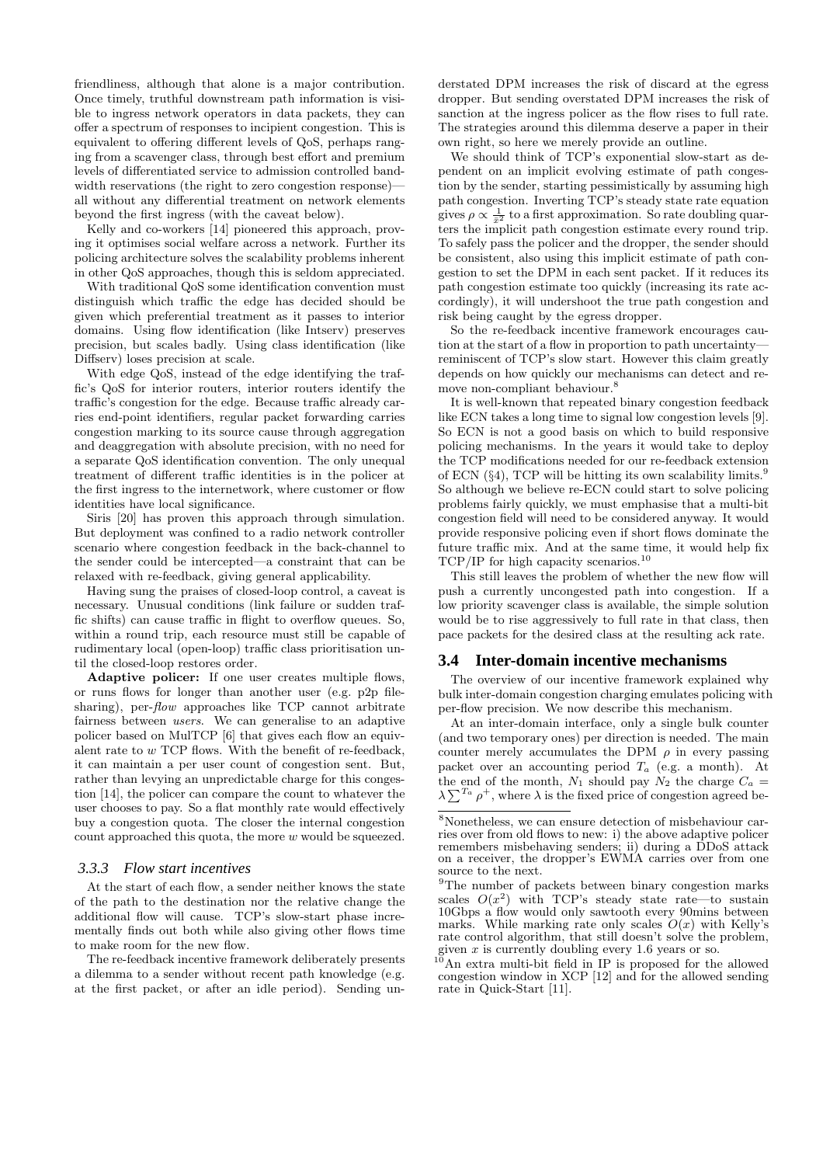friendliness, although that alone is a major contribution. Once timely, truthful downstream path information is visible to ingress network operators in data packets, they can offer a spectrum of responses to incipient congestion. This is equivalent to offering different levels of QoS, perhaps ranging from a scavenger class, through best effort and premium levels of differentiated service to admission controlled bandwidth reservations (the right to zero congestion response) all without any differential treatment on network elements beyond the first ingress (with the caveat below).

Kelly and co-workers [14] pioneered this approach, proving it optimises social welfare across a network. Further its policing architecture solves the scalability problems inherent in other QoS approaches, though this is seldom appreciated.

With traditional QoS some identification convention must distinguish which traffic the edge has decided should be given which preferential treatment as it passes to interior domains. Using flow identification (like Intserv) preserves precision, but scales badly. Using class identification (like Diffserv) loses precision at scale.

With edge QoS, instead of the edge identifying the traffic's QoS for interior routers, interior routers identify the traffic's congestion for the edge. Because traffic already carries end-point identifiers, regular packet forwarding carries congestion marking to its source cause through aggregation and deaggregation with absolute precision, with no need for a separate QoS identification convention. The only unequal treatment of different traffic identities is in the policer at the first ingress to the internetwork, where customer or flow identities have local significance.

Siris [20] has proven this approach through simulation. But deployment was confined to a radio network controller scenario where congestion feedback in the back-channel to the sender could be intercepted—a constraint that can be relaxed with re-feedback, giving general applicability.

Having sung the praises of closed-loop control, a caveat is necessary. Unusual conditions (link failure or sudden traffic shifts) can cause traffic in flight to overflow queues. So, within a round trip, each resource must still be capable of rudimentary local (open-loop) traffic class prioritisation until the closed-loop restores order.

Adaptive policer: If one user creates multiple flows, or runs flows for longer than another user (e.g. p2p filesharing), per-*flow* approaches like TCP cannot arbitrate fairness between users. We can generalise to an adaptive policer based on MulTCP [6] that gives each flow an equivalent rate to w TCP flows. With the benefit of re-feedback, it can maintain a per user count of congestion sent. But, rather than levying an unpredictable charge for this congestion [14], the policer can compare the count to whatever the user chooses to pay. So a flat monthly rate would effectively buy a congestion quota. The closer the internal congestion count approached this quota, the more w would be squeezed.

#### *3.3.3 Flow start incentives*

At the start of each flow, a sender neither knows the state of the path to the destination nor the relative change the additional flow will cause. TCP's slow-start phase incrementally finds out both while also giving other flows time to make room for the new flow.

The re-feedback incentive framework deliberately presents a dilemma to a sender without recent path knowledge (e.g. at the first packet, or after an idle period). Sending un-

derstated DPM increases the risk of discard at the egress dropper. But sending overstated DPM increases the risk of sanction at the ingress policer as the flow rises to full rate. The strategies around this dilemma deserve a paper in their own right, so here we merely provide an outline.

We should think of TCP's exponential slow-start as dependent on an implicit evolving estimate of path congestion by the sender, starting pessimistically by assuming high path congestion. Inverting TCP's steady state rate equation gives  $\rho \propto \frac{1}{\bar{x}^2}$  to a first approximation. So rate doubling quarters the implicit path congestion estimate every round trip. To safely pass the policer and the dropper, the sender should be consistent, also using this implicit estimate of path congestion to set the DPM in each sent packet. If it reduces its path congestion estimate too quickly (increasing its rate accordingly), it will undershoot the true path congestion and risk being caught by the egress dropper.

So the re-feedback incentive framework encourages caution at the start of a flow in proportion to path uncertainty reminiscent of TCP's slow start. However this claim greatly depends on how quickly our mechanisms can detect and remove non-compliant behaviour.<sup>8</sup>

It is well-known that repeated binary congestion feedback like ECN takes a long time to signal low congestion levels [9]. So ECN is not a good basis on which to build responsive policing mechanisms. In the years it would take to deploy the TCP modifications needed for our re-feedback extension of ECN  $(\S4)$ , TCP will be hitting its own scalability limits.<sup>9</sup> So although we believe re-ECN could start to solve policing problems fairly quickly, we must emphasise that a multi-bit congestion field will need to be considered anyway. It would provide responsive policing even if short flows dominate the future traffic mix. And at the same time, it would help fix TCP/IP for high capacity scenarios.<sup>10</sup>

This still leaves the problem of whether the new flow will push a currently uncongested path into congestion. If a low priority scavenger class is available, the simple solution would be to rise aggressively to full rate in that class, then pace packets for the desired class at the resulting ack rate.

#### **3.4 Inter-domain incentive mechanisms**

The overview of our incentive framework explained why bulk inter-domain congestion charging emulates policing with per-flow precision. We now describe this mechanism.

At an inter-domain interface, only a single bulk counter (and two temporary ones) per direction is needed. The main counter merely accumulates the DPM  $\rho$  in every passing packet over an accounting period  $T_a$  (e.g. a month). At the end of the month,  $N_1$  should pay  $N_2$  the charge  $C_a$ the end of the month,  $N_1$  should pay  $N_2$  the charge  $C_a = \lambda \sum_{i=1}^{T_a} \rho^+,$  where  $\lambda$  is the fixed price of congestion agreed be-

 $10$ An extra multi-bit field in IP is proposed for the allowed congestion window in XCP [12] and for the allowed sending rate in Quick-Start [11].

<sup>8</sup>Nonetheless, we can ensure detection of misbehaviour carries over from old flows to new: i) the above adaptive policer remembers misbehaving senders; ii) during a DDoS attack on a receiver, the dropper's EWMA carries over from one source to the next.

<sup>&</sup>lt;sup>9</sup>The number of packets between binary congestion marks scales  $O(x^2)$  with TCP's steady state rate—to sustain 10Gbps a flow would only sawtooth every 90mins between marks. While marking rate only scales  $O(x)$  with Kelly's rate control algorithm, that still doesn't solve the problem. given  $x$  is currently doubling every 1.6 years or so.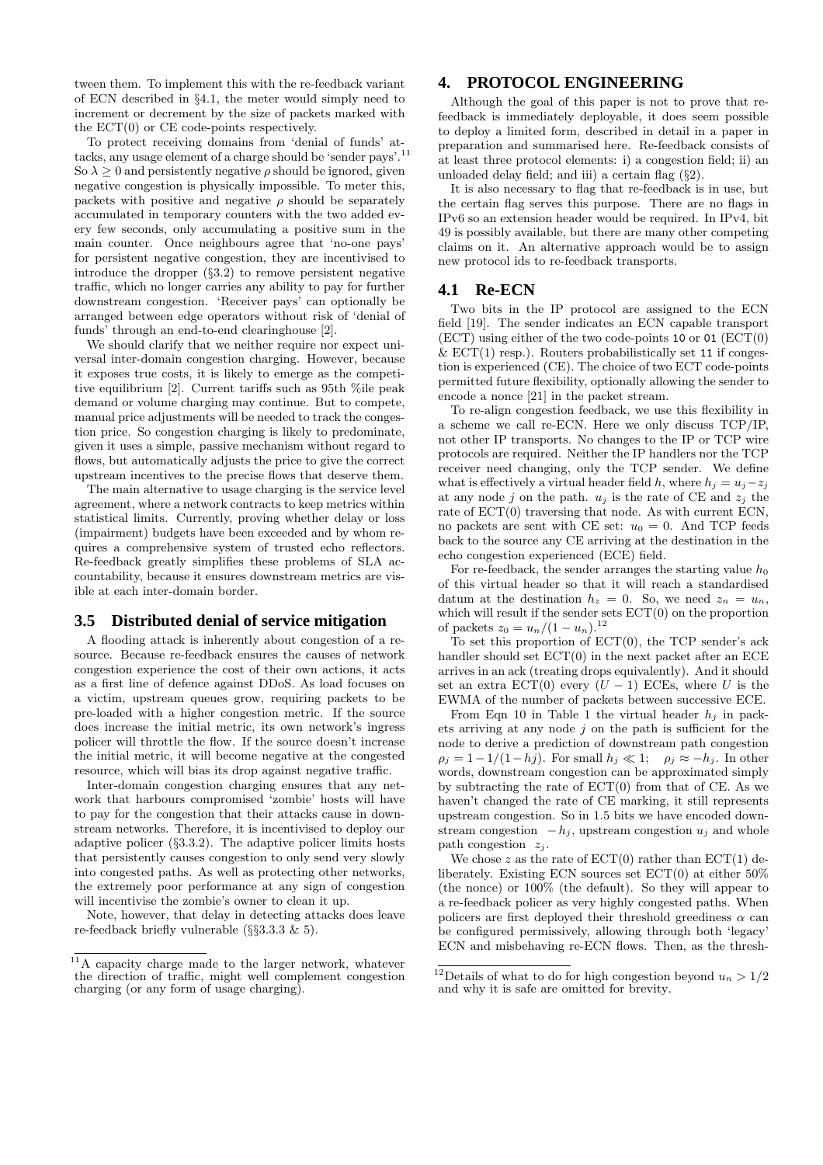tween them. To implement this with the re-feedback variant of ECN described in §4.1, the meter would simply need to increment or decrement by the size of packets marked with the ECT(0) or CE code-points respectively.

To protect receiving domains from 'denial of funds' attacks, any usage element of a charge should be 'sender pays'.<sup>11</sup> So  $\lambda > 0$  and persistently negative  $\rho$  should be ignored, given negative congestion is physically impossible. To meter this, packets with positive and negative  $\rho$  should be separately accumulated in temporary counters with the two added every few seconds, only accumulating a positive sum in the main counter. Once neighbours agree that 'no-one pays' for persistent negative congestion, they are incentivised to introduce the dropper (§3.2) to remove persistent negative traffic, which no longer carries any ability to pay for further downstream congestion. 'Receiver pays' can optionally be arranged between edge operators without risk of 'denial of funds' through an end-to-end clearinghouse [2].

We should clarify that we neither require nor expect universal inter-domain congestion charging. However, because it exposes true costs, it is likely to emerge as the competitive equilibrium [2]. Current tariffs such as 95th %ile peak demand or volume charging may continue. But to compete, manual price adjustments will be needed to track the congestion price. So congestion charging is likely to predominate, given it uses a simple, passive mechanism without regard to flows, but automatically adjusts the price to give the correct upstream incentives to the precise flows that deserve them.

The main alternative to usage charging is the service level agreement, where a network contracts to keep metrics within statistical limits. Currently, proving whether delay or loss (impairment) budgets have been exceeded and by whom requires a comprehensive system of trusted echo reflectors. Re-feedback greatly simplifies these problems of SLA accountability, because it ensures downstream metrics are visible at each inter-domain border.

### **3.5 Distributed denial of service mitigation**

A flooding attack is inherently about congestion of a resource. Because re-feedback ensures the causes of network congestion experience the cost of their own actions, it acts as a first line of defence against DDoS. As load focuses on a victim, upstream queues grow, requiring packets to be pre-loaded with a higher congestion metric. If the source does increase the initial metric, its own network's ingress policer will throttle the flow. If the source doesn't increase the initial metric, it will become negative at the congested resource, which will bias its drop against negative traffic.

Inter-domain congestion charging ensures that any network that harbours compromised 'zombie' hosts will have to pay for the congestion that their attacks cause in downstream networks. Therefore, it is incentivised to deploy our adaptive policer (§3.3.2). The adaptive policer limits hosts that persistently causes congestion to only send very slowly into congested paths. As well as protecting other networks, the extremely poor performance at any sign of congestion will incentivise the zombie's owner to clean it up.

Note, however, that delay in detecting attacks does leave re-feedback briefly vulnerable (§§3.3.3 & 5).

# **4. PROTOCOL ENGINEERING**

Although the goal of this paper is not to prove that refeedback is immediately deployable, it does seem possible to deploy a limited form, described in detail in a paper in preparation and summarised here. Re-feedback consists of at least three protocol elements: i) a congestion field; ii) an unloaded delay field; and iii) a certain flag  $(\S2)$ .

It is also necessary to flag that re-feedback is in use, but the certain flag serves this purpose. There are no flags in IPv6 so an extension header would be required. In IPv4, bit 49 is possibly available, but there are many other competing claims on it. An alternative approach would be to assign new protocol ids to re-feedback transports.

# **4.1 Re-ECN**

Two bits in the IP protocol are assigned to the ECN field [19]. The sender indicates an ECN capable transport  $(ECT)$  using either of the two code-points 10 or 01  $(ECT(0)$  $& ECT(1)$  resp.). Routers probabilistically set 11 if congestion is experienced (CE). The choice of two ECT code-points permitted future flexibility, optionally allowing the sender to encode a nonce [21] in the packet stream.

To re-align congestion feedback, we use this flexibility in a scheme we call re-ECN. Here we only discuss TCP/IP, not other IP transports. No changes to the IP or TCP wire protocols are required. Neither the IP handlers nor the TCP receiver need changing, only the TCP sender. We define what is effectively a virtual header field h, where  $h_i = u_i - z_i$ at any node j on the path.  $u_j$  is the rate of CE and  $z_j$  the rate of ECT(0) traversing that node. As with current ECN, no packets are sent with CE set:  $u_0 = 0$ . And TCP feeds back to the source any CE arriving at the destination in the echo congestion experienced (ECE) field.

For re-feedback, the sender arranges the starting value  $h_0$ of this virtual header so that it will reach a standardised datum at the destination  $h_z = 0$ . So, we need  $z_n = u_n$ , which will result if the sender sets  $ECT(0)$  on the proportion of packets  $z_0 = u_n/(1 - u_n).^{12}$ 

To set this proportion of  $ECT(0)$ , the TCP sender's ack handler should set  $ECT(0)$  in the next packet after an ECE arrives in an ack (treating drops equivalently). And it should set an extra  $\text{ECT}(0)$  every  $(U - 1)$  ECEs, where U is the EWMA of the number of packets between successive ECE.

From Eqn 10 in Table 1 the virtual header  $h_i$  in packets arriving at any node  $j$  on the path is sufficient for the node to derive a prediction of downstream path congestion  $\rho_i = 1 - 1/(1 - h_i)$ . For small  $h_i \ll 1$ ;  $\rho_i \approx -h_i$ . In other words, downstream congestion can be approximated simply by subtracting the rate of  $ECT(0)$  from that of CE. As we haven't changed the rate of CE marking, it still represents upstream congestion. So in 1.5 bits we have encoded downstream congestion  $-h_i$ , upstream congestion  $u_i$  and whole path congestion  $z_i$ .

We chose z as the rate of  $ECT(0)$  rather than  $ECT(1)$  deliberately. Existing ECN sources set ECT(0) at either 50% (the nonce) or 100% (the default). So they will appear to a re-feedback policer as very highly congested paths. When policers are first deployed their threshold greediness  $\alpha$  can be configured permissively, allowing through both 'legacy' ECN and misbehaving re-ECN flows. Then, as the thresh-

<sup>&</sup>lt;sup>11</sup>A capacity charge made to the larger network, whatever the direction of traffic, might well complement congestion charging (or any form of usage charging).

<sup>&</sup>lt;sup>12</sup>Details of what to do for high congestion beyond  $u_n > 1/2$ and why it is safe are omitted for brevity.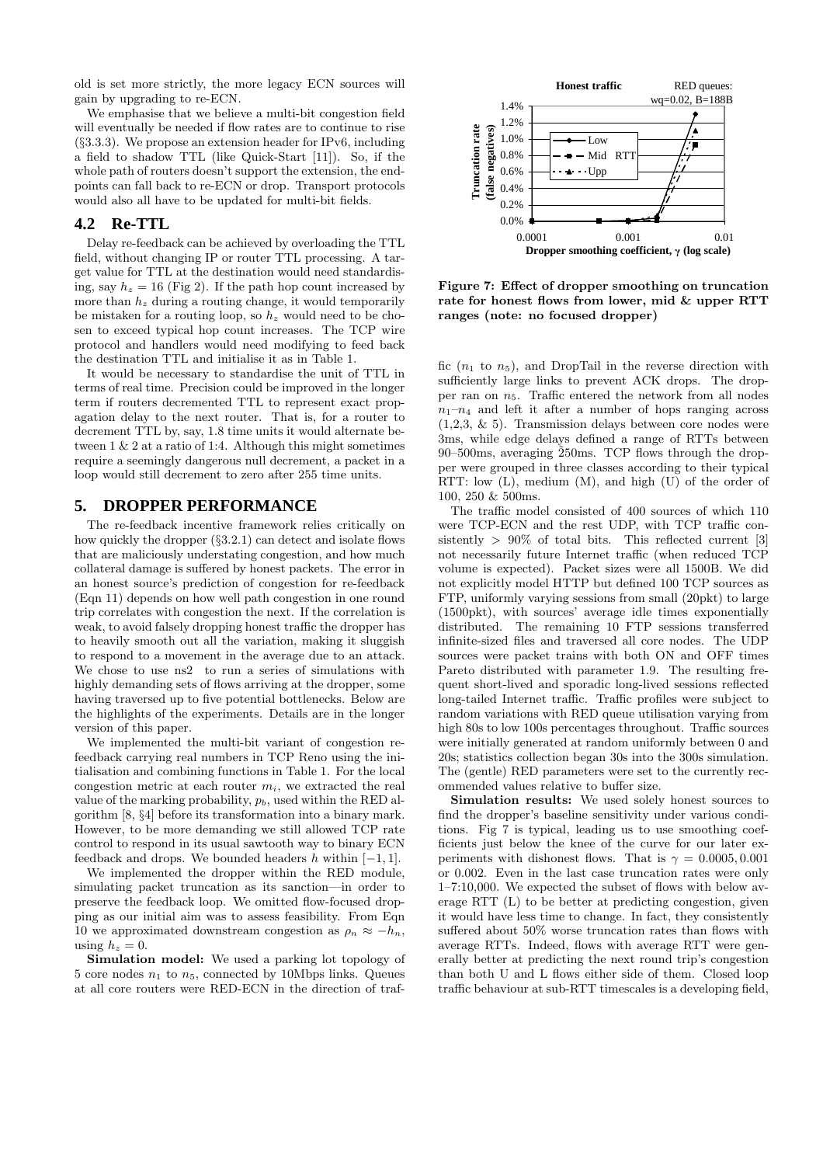old is set more strictly, the more legacy ECN sources will gain by upgrading to re-ECN.

We emphasise that we believe a multi-bit congestion field will eventually be needed if flow rates are to continue to rise (§3.3.3). We propose an extension header for IPv6, including a field to shadow TTL (like Quick-Start [11]). So, if the whole path of routers doesn't support the extension, the endpoints can fall back to re-ECN or drop. Transport protocols would also all have to be updated for multi-bit fields.

# **4.2 Re-TTL**

Delay re-feedback can be achieved by overloading the TTL field, without changing IP or router TTL processing. A target value for TTL at the destination would need standardising, say  $h_z = 16$  (Fig 2). If the path hop count increased by more than  $h<sub>z</sub>$  during a routing change, it would temporarily be mistaken for a routing loop, so  $h_z$  would need to be chosen to exceed typical hop count increases. The TCP wire protocol and handlers would need modifying to feed back the destination TTL and initialise it as in Table 1.

It would be necessary to standardise the unit of TTL in terms of real time. Precision could be improved in the longer term if routers decremented TTL to represent exact propagation delay to the next router. That is, for a router to decrement TTL by, say, 1.8 time units it would alternate between 1 & 2 at a ratio of 1:4. Although this might sometimes require a seemingly dangerous null decrement, a packet in a loop would still decrement to zero after 255 time units.

# **5. DROPPER PERFORMANCE**

The re-feedback incentive framework relies critically on how quickly the dropper  $(\S3.2.1)$  can detect and isolate flows that are maliciously understating congestion, and how much collateral damage is suffered by honest packets. The error in an honest source's prediction of congestion for re-feedback (Eqn 11) depends on how well path congestion in one round trip correlates with congestion the next. If the correlation is weak, to avoid falsely dropping honest traffic the dropper has to heavily smooth out all the variation, making it sluggish to respond to a movement in the average due to an attack. We chose to use ns2 to run a series of simulations with highly demanding sets of flows arriving at the dropper, some having traversed up to five potential bottlenecks. Below are the highlights of the experiments. Details are in the longer version of this paper.

We implemented the multi-bit variant of congestion refeedback carrying real numbers in TCP Reno using the initialisation and combining functions in Table 1. For the local congestion metric at each router  $m_i$ , we extracted the real value of the marking probability,  $p<sub>b</sub>$ , used within the RED algorithm [8, §4] before its transformation into a binary mark. However, to be more demanding we still allowed TCP rate control to respond in its usual sawtooth way to binary ECN feedback and drops. We bounded headers h within  $[-1, 1]$ .

We implemented the dropper within the RED module, simulating packet truncation as its sanction—in order to preserve the feedback loop. We omitted flow-focused dropping as our initial aim was to assess feasibility. From Eqn 10 we approximated downstream congestion as  $\rho_n \approx -h_n$ , using  $h_z = 0$ .

Simulation model: We used a parking lot topology of 5 core nodes  $n_1$  to  $n_5$ , connected by 10Mbps links. Queues at all core routers were RED-ECN in the direction of traf-



Figure 7: Effect of dropper smoothing on truncation rate for honest flows from lower, mid & upper RTT ranges (note: no focused dropper)

fic  $(n_1 \text{ to } n_5)$ , and DropTail in the reverse direction with sufficiently large links to prevent ACK drops. The dropper ran on  $n_5$ . Traffic entered the network from all nodes  $n_1-n_4$  and left it after a number of hops ranging across (1,2,3, & 5). Transmission delays between core nodes were 3ms, while edge delays defined a range of RTTs between 90–500ms, averaging  $\overline{2}50$ ms. TCP flows through the dropper were grouped in three classes according to their typical RTT: low (L), medium (M), and high (U) of the order of 100, 250 & 500ms.

The traffic model consisted of 400 sources of which 110 were TCP-ECN and the rest UDP, with TCP traffic consistently  $> 90\%$  of total bits. This reflected current [3] not necessarily future Internet traffic (when reduced TCP volume is expected). Packet sizes were all 1500B. We did not explicitly model HTTP but defined 100 TCP sources as FTP, uniformly varying sessions from small (20pkt) to large (1500pkt), with sources' average idle times exponentially distributed. The remaining 10 FTP sessions transferred infinite-sized files and traversed all core nodes. The UDP sources were packet trains with both ON and OFF times Pareto distributed with parameter 1.9. The resulting frequent short-lived and sporadic long-lived sessions reflected long-tailed Internet traffic. Traffic profiles were subject to random variations with RED queue utilisation varying from high 80s to low 100s percentages throughout. Traffic sources were initially generated at random uniformly between 0 and 20s; statistics collection began 30s into the 300s simulation. The (gentle) RED parameters were set to the currently recommended values relative to buffer size.

Simulation results: We used solely honest sources to find the dropper's baseline sensitivity under various conditions. Fig 7 is typical, leading us to use smoothing coefficients just below the knee of the curve for our later experiments with dishonest flows. That is  $\gamma = 0.0005, 0.001$ or 0.002. Even in the last case truncation rates were only 1–7:10,000. We expected the subset of flows with below average RTT (L) to be better at predicting congestion, given it would have less time to change. In fact, they consistently suffered about 50% worse truncation rates than flows with average RTTs. Indeed, flows with average RTT were generally better at predicting the next round trip's congestion than both U and L flows either side of them. Closed loop traffic behaviour at sub-RTT timescales is a developing field,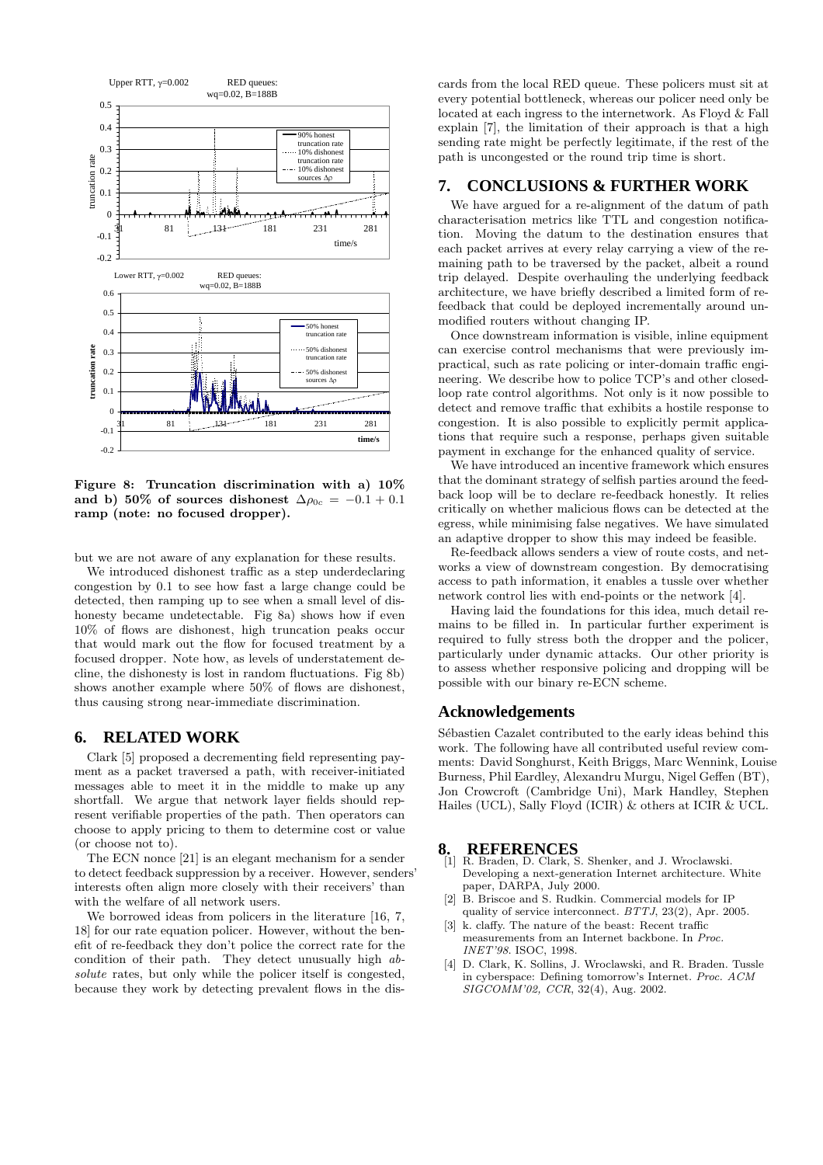

Figure 8: Truncation discrimination with a) 10% and b) 50% of sources dishonest  $\Delta \rho_{0c} = -0.1 + 0.1$ ramp (note: no focused dropper).

but we are not aware of any explanation for these results.

We introduced dishonest traffic as a step underdeclaring congestion by 0.1 to see how fast a large change could be detected, then ramping up to see when a small level of dishonesty became undetectable. Fig 8a) shows how if even 10% of flows are dishonest, high truncation peaks occur that would mark out the flow for focused treatment by a focused dropper. Note how, as levels of understatement decline, the dishonesty is lost in random fluctuations. Fig 8b) shows another example where 50% of flows are dishonest, thus causing strong near-immediate discrimination.

# **6. RELATED WORK**

Clark [5] proposed a decrementing field representing payment as a packet traversed a path, with receiver-initiated messages able to meet it in the middle to make up any shortfall. We argue that network layer fields should represent verifiable properties of the path. Then operators can choose to apply pricing to them to determine cost or value (or choose not to).

The ECN nonce [21] is an elegant mechanism for a sender to detect feedback suppression by a receiver. However, senders' interests often align more closely with their receivers' than with the welfare of all network users.

We borrowed ideas from policers in the literature [16, 7, 18] for our rate equation policer. However, without the benefit of re-feedback they don't police the correct rate for the condition of their path. They detect unusually high absolute rates, but only while the policer itself is congested, because they work by detecting prevalent flows in the dis-

cards from the local RED queue. These policers must sit at every potential bottleneck, whereas our policer need only be located at each ingress to the internetwork. As Floyd & Fall explain [7], the limitation of their approach is that a high sending rate might be perfectly legitimate, if the rest of the path is uncongested or the round trip time is short.

# **7. CONCLUSIONS & FURTHER WORK**

We have argued for a re-alignment of the datum of path characterisation metrics like TTL and congestion notification. Moving the datum to the destination ensures that each packet arrives at every relay carrying a view of the remaining path to be traversed by the packet, albeit a round trip delayed. Despite overhauling the underlying feedback architecture, we have briefly described a limited form of refeedback that could be deployed incrementally around unmodified routers without changing IP.

Once downstream information is visible, inline equipment can exercise control mechanisms that were previously impractical, such as rate policing or inter-domain traffic engineering. We describe how to police TCP's and other closedloop rate control algorithms. Not only is it now possible to detect and remove traffic that exhibits a hostile response to congestion. It is also possible to explicitly permit applications that require such a response, perhaps given suitable payment in exchange for the enhanced quality of service.

We have introduced an incentive framework which ensures that the dominant strategy of selfish parties around the feedback loop will be to declare re-feedback honestly. It relies critically on whether malicious flows can be detected at the egress, while minimising false negatives. We have simulated an adaptive dropper to show this may indeed be feasible.

Re-feedback allows senders a view of route costs, and networks a view of downstream congestion. By democratising access to path information, it enables a tussle over whether network control lies with end-points or the network [4].

Having laid the foundations for this idea, much detail remains to be filled in. In particular further experiment is required to fully stress both the dropper and the policer, particularly under dynamic attacks. Our other priority is to assess whether responsive policing and dropping will be possible with our binary re-ECN scheme.

#### **Acknowledgements**

Sébastien Cazalet contributed to the early ideas behind this work. The following have all contributed useful review comments: David Songhurst, Keith Briggs, Marc Wennink, Louise Burness, Phil Eardley, Alexandru Murgu, Nigel Geffen (BT), Jon Crowcroft (Cambridge Uni), Mark Handley, Stephen Hailes (UCL), Sally Floyd (ICIR) & others at ICIR & UCL.

- **8. REFERENCES** [1] R. Braden, D. Clark, S. Shenker, and J. Wroclawski. Developing a next-generation Internet architecture. White paper, DARPA, July 2000.
- [2] B. Briscoe and S. Rudkin. Commercial models for IP quality of service interconnect. BTTJ, 23(2), Apr. 2005.
- [3] k. claffy. The nature of the beast: Recent traffic measurements from an Internet backbone. In Proc. INET'98. ISOC, 1998.
- [4] D. Clark, K. Sollins, J. Wroclawski, and R. Braden. Tussle in cyberspace: Defining tomorrow's Internet. Proc. ACM SIGCOMM'02, CCR, 32(4), Aug. 2002.